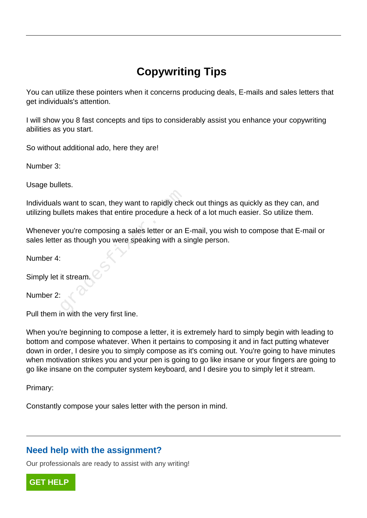# **Copywriting Tips**

You can utilize these pointers when it concerns producing deals, E-mails and sales letters that get individuals's attention.

I will show you 8 fast concepts and tips to considerably assist you enhance your copywriting abilities as you start.

So without additional ado, here they are!

Number 3:

Usage bullets.

Individuals want to scan, they want to rapidly check out things as quickly as they can, and utilizing bullets makes that entire procedure a heck of a lot much easier. So utilize them.

Whenever you're composing a sales letter or an E-mail, you wish to compose that E-mail or sales letter as though you were speaking with a single person. want to scan, they want to rapidly cheallets makes that entire procedure a head<br>you're composing a sales letter or an I<br>r as though you were speaking with a s<br>it stream.

Number 4:

Simply let it stream.

Number 2:

Pull them in with the very first line.

When you're beginning to compose a letter, it is extremely hard to simply begin with leading to bottom and compose whatever. When it pertains to composing it and in fact putting whatever down in order, I desire you to simply compose as it's coming out. You're going to have minutes when motivation strikes you and your pen is going to go like insane or your fingers are going to go like insane on the computer system keyboard, and I desire you to simply let it stream.

Primary:

Constantly compose your sales letter with the person in mind.

## **Need help with the assignment?**

Our professionals are ready to assist with any writing!

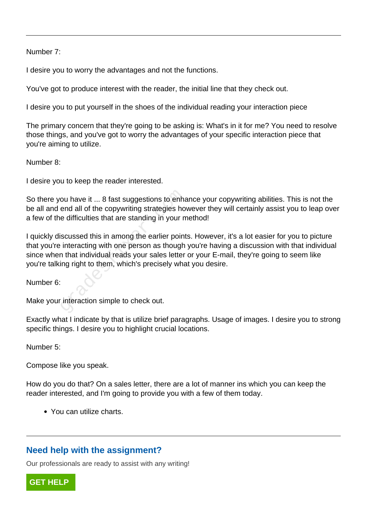#### Number 7:

I desire you to worry the advantages and not the functions.

You've got to produce interest with the reader, the initial line that they check out.

I desire you to put yourself in the shoes of the individual reading your interaction piece

The primary concern that they're going to be asking is: What's in it for me? You need to resolve those things, and you've got to worry the advantages of your specific interaction piece that you're aiming to utilize.

Number 8:

I desire you to keep the reader interested.

So there you have it ... 8 fast suggestions to enhance your copywriting abilities. This is not the be all and end all of the copywriting strategies however they will certainly assist you to leap over a few of the difficulties that are standing in your method!

I quickly discussed this in among the earlier points. However, it's a lot easier for you to picture that you're interacting with one person as though you're having a discussion with that individual since when that individual reads your sales letter or your E-mail, they're going to seem like you're talking right to them, which's precisely what you desire. ou have it ... 8 fast suggestions to enhand all of the copywriting strategies hot e difficulties that are standing in your networks.<br>Excellent are standing in your metallical reads in among the earlier point interacting wi

Number 6:

Make your interaction simple to check out.

Exactly what I indicate by that is utilize brief paragraphs. Usage of images. I desire you to strong specific things. I desire you to highlight crucial locations.

Number 5:

Compose like you speak.

How do you do that? On a sales letter, there are a lot of manner ins which you can keep the reader interested, and I'm going to provide you with a few of them today.

You can utilize charts.

## **Need help with the assignment?**

Our professionals are ready to assist with any writing!